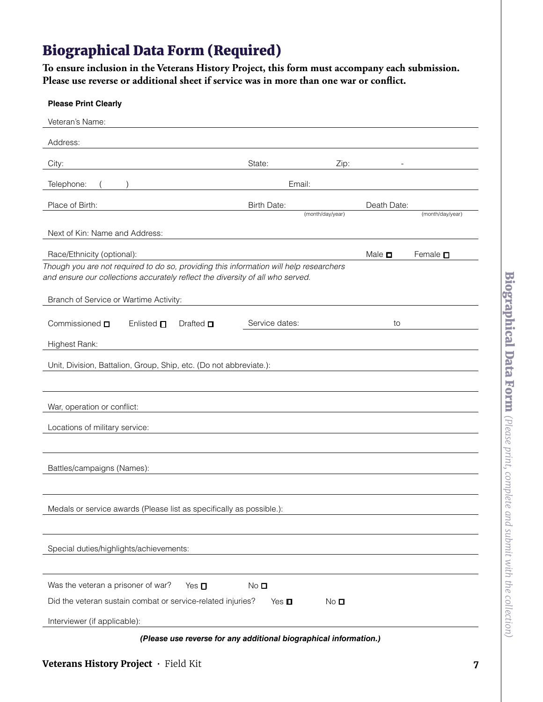## Biographical Data Form (Required)

**To ensure inclusion in the Veterans History Project, this form must accompany each submission. Please use reverse or additional sheet if service was in more than one war or confict.** 

| <b>Please Print Clearly</b>                                                                                                                                              |                    |                  |                |                  |
|--------------------------------------------------------------------------------------------------------------------------------------------------------------------------|--------------------|------------------|----------------|------------------|
| Veteran's Name:                                                                                                                                                          |                    |                  |                |                  |
| Address:                                                                                                                                                                 |                    |                  |                |                  |
| City:                                                                                                                                                                    | State:             | Zip:             |                |                  |
| Telephone:                                                                                                                                                               | Email:             |                  |                |                  |
| Place of Birth:                                                                                                                                                          | <b>Birth Date:</b> |                  | Death Date:    |                  |
|                                                                                                                                                                          |                    | (month/day/year) |                | (month/day/year) |
| Next of Kin: Name and Address:                                                                                                                                           |                    |                  |                |                  |
| Race/Ethnicity (optional):                                                                                                                                               |                    |                  | Male $\square$ | Female $\square$ |
| Though you are not required to do so, providing this information will help researchers<br>and ensure our collections accurately reflect the diversity of all who served. |                    |                  |                |                  |
|                                                                                                                                                                          |                    |                  |                |                  |
| Branch of Service or Wartime Activity:                                                                                                                                   |                    |                  |                |                  |
| Commissioned $\square$<br>Enlisted $\square$<br>Drafted $\Box$                                                                                                           | Service dates:     |                  | to             |                  |
| Highest Rank:                                                                                                                                                            |                    |                  |                |                  |
| Unit, Division, Battalion, Group, Ship, etc. (Do not abbreviate.):                                                                                                       |                    |                  |                |                  |
|                                                                                                                                                                          |                    |                  |                |                  |
|                                                                                                                                                                          |                    |                  |                |                  |
| War, operation or conflict:                                                                                                                                              |                    |                  |                |                  |
| Locations of military service:                                                                                                                                           |                    |                  |                |                  |
|                                                                                                                                                                          |                    |                  |                |                  |
| Battles/campaigns (Names):                                                                                                                                               |                    |                  |                |                  |
|                                                                                                                                                                          |                    |                  |                |                  |
|                                                                                                                                                                          |                    |                  |                |                  |
| Medals or service awards (Please list as specifically as possible.):                                                                                                     |                    |                  |                |                  |
|                                                                                                                                                                          |                    |                  |                |                  |
| Special duties/highlights/achievements:                                                                                                                                  |                    |                  |                |                  |
|                                                                                                                                                                          |                    |                  |                |                  |
| Was the veteran a prisoner of war?<br>Yes $\Box$                                                                                                                         | No $\square$       |                  |                |                  |
| Did the veteran sustain combat or service-related injuries?                                                                                                              | Yes $\blacksquare$ | No <sub>D</sub>  |                |                  |
| Interviewer (if applicable):                                                                                                                                             |                    |                  |                |                  |

*(Please use reverse for any additional biographical information.)*